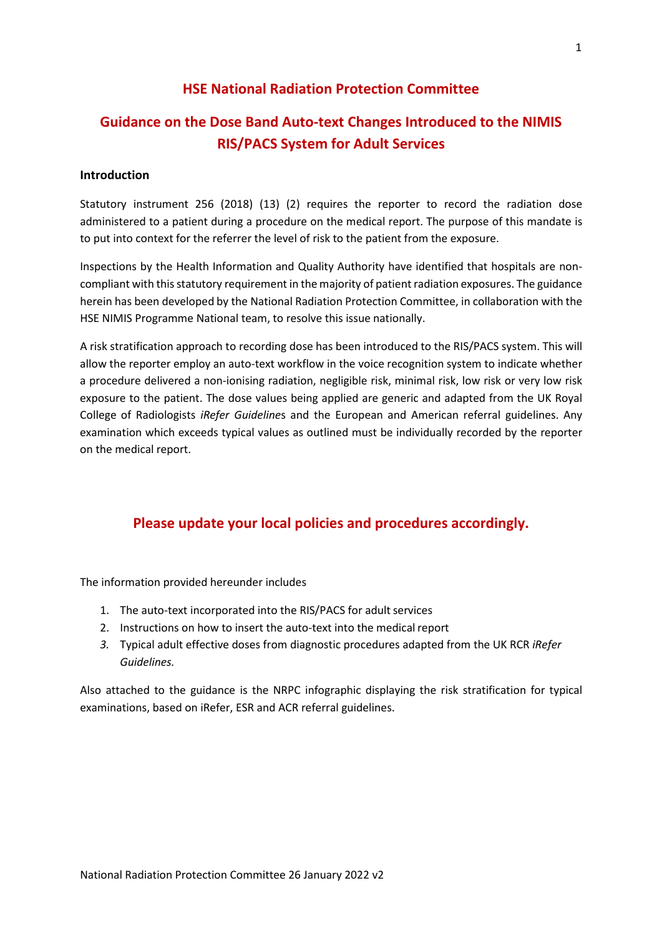#### **HSE National Radiation Protection Committee**

## **Guidance on the Dose Band Auto-text Changes Introduced to the NIMIS RIS/PACS System for Adult Services**

#### **Introduction**

Statutory instrument 256 (2018) (13) (2) requires the reporter to record the radiation dose administered to a patient during a procedure on the medical report. The purpose of this mandate is to put into context for the referrer the level of risk to the patient from the exposure.

Inspections by the Health Information and Quality Authority have identified that hospitals are noncompliant with thisstatutory requirement in the majority of patient radiation exposures. The guidance herein has been developed by the National Radiation Protection Committee, in collaboration with the HSE NIMIS Programme National team, to resolve this issue nationally.

A risk stratification approach to recording dose has been introduced to the RIS/PACS system. This will allow the reporter employ an auto-text workflow in the voice recognition system to indicate whether a procedure delivered a non-ionising radiation, negligible risk, minimal risk, low risk or very low risk exposure to the patient. The dose values being applied are generic and adapted from the UK Royal College of Radiologists *iRefer Guideline*s and the European and American referral guidelines. Any examination which exceeds typical values as outlined must be individually recorded by the reporter on the medical report.

#### **Please update your local policies and procedures accordingly.**

The information provided hereunder includes

- 1. The auto-text incorporated into the RIS/PACS for adult services
- 2. Instructions on how to insert the auto-text into the medical report
- *3.* Typical adult effective doses from diagnostic procedures adapted from the UK RCR *iRefer Guidelines.*

Also attached to the guidance is the NRPC infographic displaying the risk stratification for typical examinations, based on iRefer, ESR and ACR referral guidelines.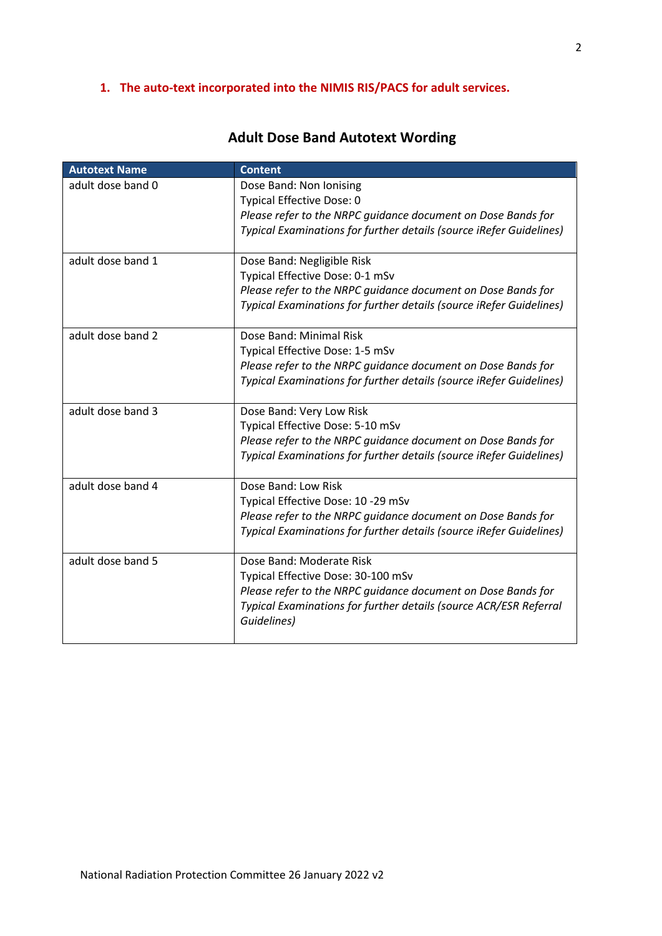### **1. The auto-text incorporated into the NIMIS RIS/PACS for adult services.**

| <b>Autotext Name</b> | <b>Content</b>                                                      |
|----------------------|---------------------------------------------------------------------|
| adult dose band 0    | Dose Band: Non Ionising                                             |
|                      | <b>Typical Effective Dose: 0</b>                                    |
|                      | Please refer to the NRPC guidance document on Dose Bands for        |
|                      | Typical Examinations for further details (source iRefer Guidelines) |
| adult dose band 1    | Dose Band: Negligible Risk                                          |
|                      | Typical Effective Dose: 0-1 mSv                                     |
|                      | Please refer to the NRPC quidance document on Dose Bands for        |
|                      | Typical Examinations for further details (source iRefer Guidelines) |
| adult dose band 2    | Dose Band: Minimal Risk                                             |
|                      | Typical Effective Dose: 1-5 mSv                                     |
|                      | Please refer to the NRPC guidance document on Dose Bands for        |
|                      | Typical Examinations for further details (source iRefer Guidelines) |
| adult dose band 3    | Dose Band: Very Low Risk                                            |
|                      | Typical Effective Dose: 5-10 mSv                                    |
|                      | Please refer to the NRPC quidance document on Dose Bands for        |
|                      | Typical Examinations for further details (source iRefer Guidelines) |
| adult dose band 4    | Dose Band: Low Risk                                                 |
|                      | Typical Effective Dose: 10 -29 mSv                                  |
|                      | Please refer to the NRPC guidance document on Dose Bands for        |
|                      | Typical Examinations for further details (source iRefer Guidelines) |
| adult dose band 5    | Dose Band: Moderate Risk                                            |
|                      | Typical Effective Dose: 30-100 mSv                                  |
|                      | Please refer to the NRPC guidance document on Dose Bands for        |
|                      | Typical Examinations for further details (source ACR/ESR Referral   |
|                      | Guidelines)                                                         |
|                      |                                                                     |

# **Adult Dose Band Autotext Wording**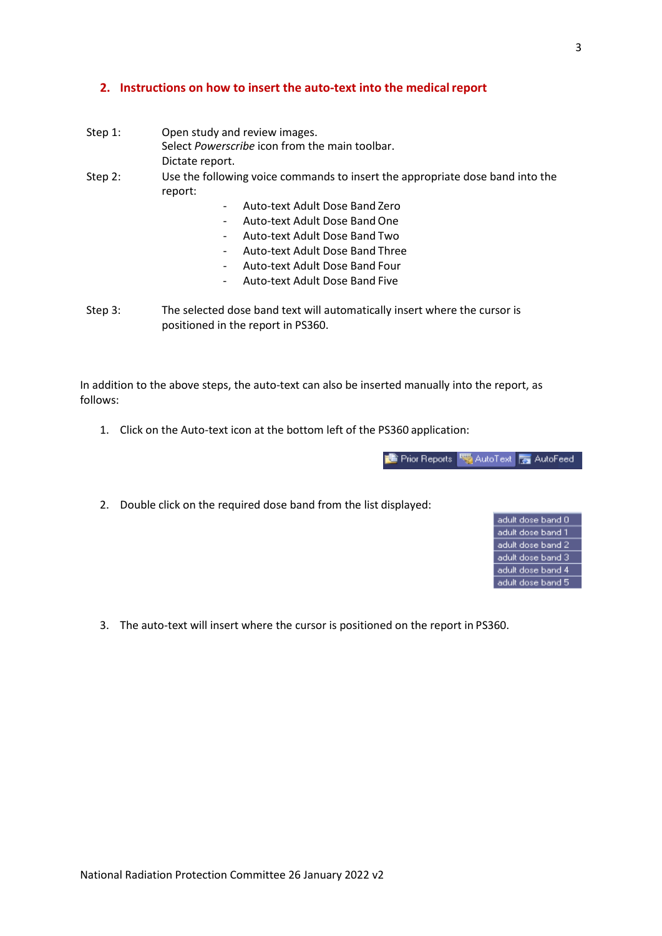#### **2. Instructions on how to insert the auto-text into the medicalreport**

- Step 1: Open study and review images. Select *Powerscribe* icon from the main toolbar. Dictate report. Step 2: Use the following voice commands to insert the appropriate dose band into the report:
	- Auto-text Adult Dose Band Zero
	- Auto-text Adult Dose Band One
	- Auto-text Adult Dose Band Two
	- Auto-text Adult Dose Band Three
	- Auto-text Adult Dose Band Four
	- Auto-text Adult Dose Band Five
- Step 3: The selected dose band text will automatically insert where the cursor is positioned in the report in PS360.

In addition to the above steps, the auto-text can also be inserted manually into the report, as follows:

1. Click on the Auto-text icon at the bottom left of the PS360 application:

**TE** Prior Reports **CAU** AutoText **TAU AutoFeed** 

2. Double click on the required dose band from the list displayed:



3. The auto-text will insert where the cursor is positioned on the report in PS360.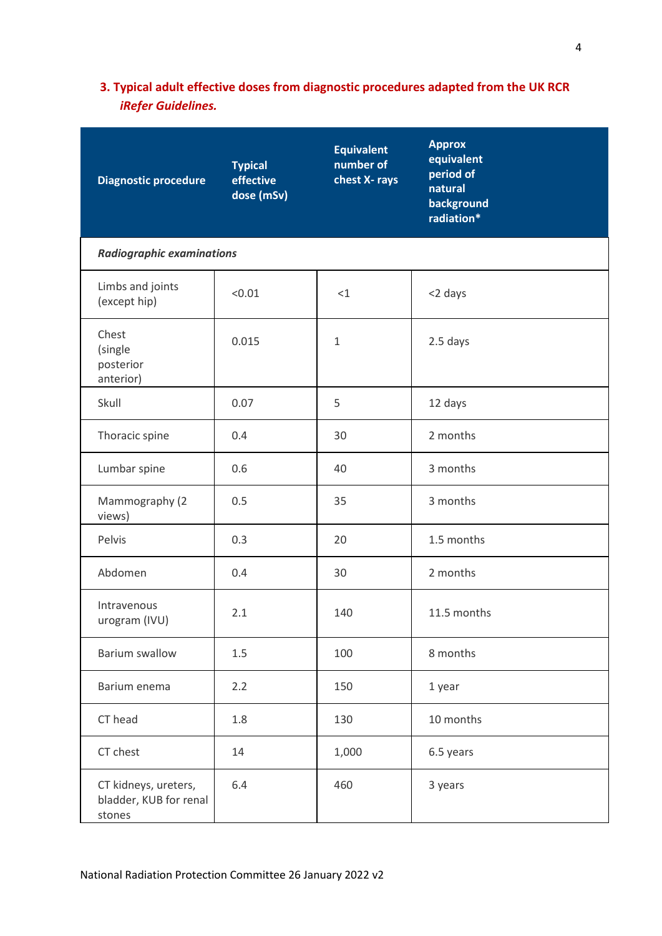## **3. Typical adult effective doses from diagnostic procedures adapted from the UK RCR** *iRefer Guidelines.*

| <b>Diagnostic procedure</b>                              | <b>Typical</b><br>effective<br>dose (mSv) | <b>Equivalent</b><br>number of<br>chest X-rays | <b>Approx</b><br>equivalent<br>period of<br>natural<br>background<br>radiation* |  |  |  |
|----------------------------------------------------------|-------------------------------------------|------------------------------------------------|---------------------------------------------------------------------------------|--|--|--|
| <b>Radiographic examinations</b>                         |                                           |                                                |                                                                                 |  |  |  |
| Limbs and joints<br>(except hip)                         | < 0.01                                    | <1                                             | <2 days                                                                         |  |  |  |
| Chest<br>(single<br>posterior<br>anterior)               | 0.015                                     | $\mathbf{1}$                                   | 2.5 days                                                                        |  |  |  |
| Skull                                                    | 0.07                                      | 5                                              | 12 days                                                                         |  |  |  |
| Thoracic spine                                           | 0.4                                       | 30                                             | 2 months                                                                        |  |  |  |
| Lumbar spine                                             | 0.6                                       | 40                                             | 3 months                                                                        |  |  |  |
| Mammography (2<br>views)                                 | 0.5                                       | 35                                             | 3 months                                                                        |  |  |  |
| Pelvis                                                   | 0.3                                       | 20                                             | 1.5 months                                                                      |  |  |  |
| Abdomen                                                  | 0.4                                       | 30                                             | 2 months                                                                        |  |  |  |
| Intravenous<br>urogram (IVU)                             | 2.1                                       | 140                                            | 11.5 months                                                                     |  |  |  |
| <b>Barium swallow</b>                                    | 1.5                                       | 100                                            | 8 months                                                                        |  |  |  |
| Barium enema                                             | 2.2                                       | 150                                            | 1 year                                                                          |  |  |  |
| CT head                                                  | 1.8                                       | 130                                            | 10 months                                                                       |  |  |  |
| CT chest                                                 | 14                                        | 1,000                                          | 6.5 years                                                                       |  |  |  |
| CT kidneys, ureters,<br>bladder, KUB for renal<br>stones | 6.4                                       | 460                                            | 3 years                                                                         |  |  |  |